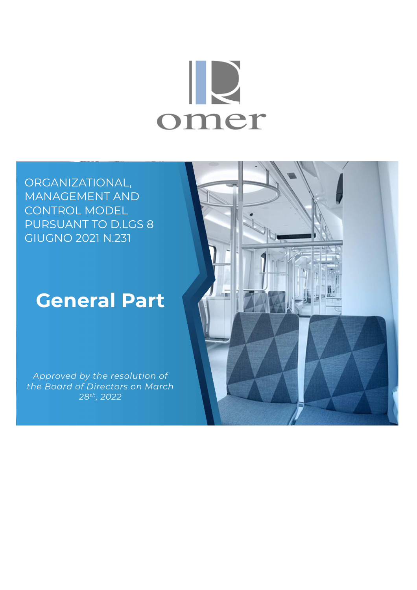# IR omer

ORGANIZATIONAL, MANAGEMENT AND CONTROL MODEL PURSUANT TO D.LGS 8 GIUGNO 2021 N.231

## **General Part**

*Approved by the resolution of the Board of Directors on March 28th, 2022* 

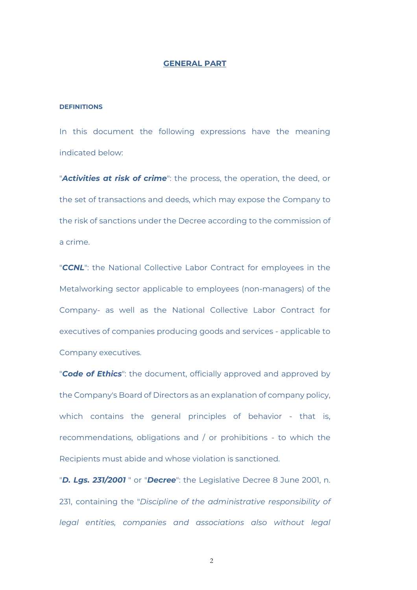#### **GENERAL PART**

#### **DEFINITIONS**

In this document the following expressions have the meaning indicated below:

"*Activities at risk of crime*": the process, the operation, the deed, or the set of transactions and deeds, which may expose the Company to the risk of sanctions under the Decree according to the commission of a crime.

"*CCNL*": the National Collective Labor Contract for employees in the Metalworking sector applicable to employees (non-managers) of the Company- as well as the National Collective Labor Contract for executives of companies producing goods and services - applicable to Company executives.

"*Code of Ethics*": the document, officially approved and approved by the Company's Board of Directors as an explanation of company policy, which contains the general principles of behavior - that is, recommendations, obligations and / or prohibitions - to which the Recipients must abide and whose violation is sanctioned.

"*D. Lgs. 231/2001* " or "*Decree*": the Legislative Decree 8 June 2001, n. 231, containing the "*Discipline of the administrative responsibility of legal entities, companies and associations also without legal*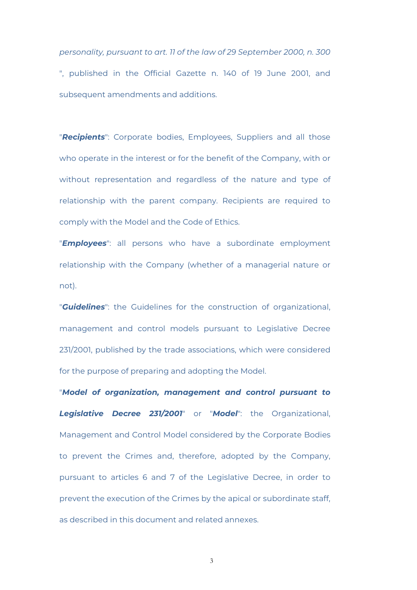*personality, pursuant to art. 11 of the law of 29 September 2000, n. 300* ", published in the Official Gazette n. 140 of 19 June 2001, and subsequent amendments and additions.

"*Recipients*": Corporate bodies, Employees, Suppliers and all those who operate in the interest or for the benefit of the Company, with or without representation and regardless of the nature and type of relationship with the parent company. Recipients are required to comply with the Model and the Code of Ethics.

"*Employees*": all persons who have a subordinate employment relationship with the Company (whether of a managerial nature or not).

"*Guidelines*": the Guidelines for the construction of organizational, management and control models pursuant to Legislative Decree 231/2001, published by the trade associations, which were considered for the purpose of preparing and adopting the Model.

"*Model of organization, management and control pursuant to Legislative Decree 231/2001*" or "*Model*": the Organizational, Management and Control Model considered by the Corporate Bodies to prevent the Crimes and, therefore, adopted by the Company, pursuant to articles 6 and 7 of the Legislative Decree, in order to prevent the execution of the Crimes by the apical or subordinate staff, as described in this document and related annexes.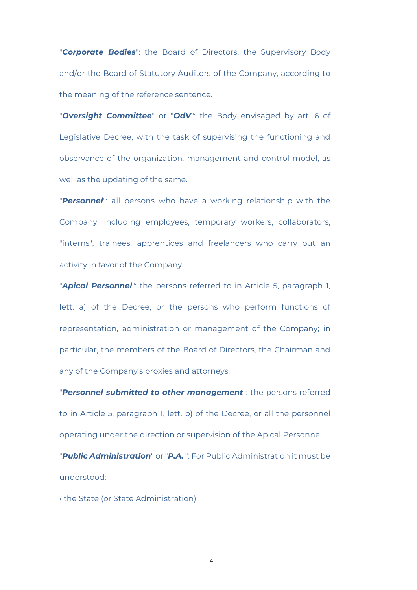"*Corporate Bodies*": the Board of Directors, the Supervisory Body and/or the Board of Statutory Auditors of the Company, according to the meaning of the reference sentence.

"*Oversight Committee*" or "*OdV*": the Body envisaged by art. 6 of Legislative Decree, with the task of supervising the functioning and observance of the organization, management and control model, as well as the updating of the same.

"*Personnel*": all persons who have a working relationship with the Company, including employees, temporary workers, collaborators, "interns", trainees, apprentices and freelancers who carry out an activity in favor of the Company.

"*Apical Personnel*": the persons referred to in Article 5, paragraph 1, lett. a) of the Decree, or the persons who perform functions of representation, administration or management of the Company; in particular, the members of the Board of Directors, the Chairman and any of the Company's proxies and attorneys.

"*Personnel submitted to other management*": the persons referred to in Article 5, paragraph 1, lett. b) of the Decree, or all the personnel operating under the direction or supervision of the Apical Personnel.

"*Public Administration*" or "*P.A.* ": For Public Administration it must be understood:

• the State (or State Administration);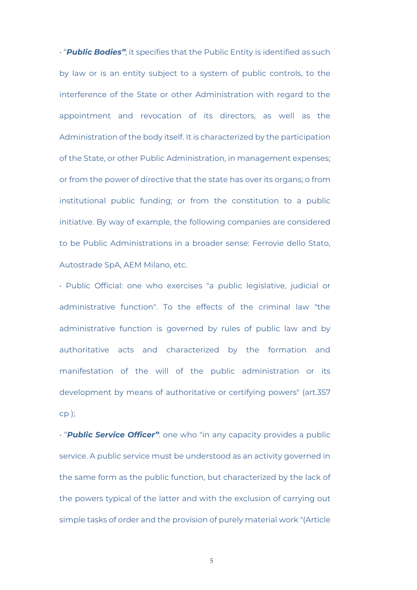• "*Public Bodies"*; it specifies that the Public Entity is identified as such by law or is an entity subject to a system of public controls, to the interference of the State or other Administration with regard to the appointment and revocation of its directors, as well as the Administration of the body itself. It is characterized by the participation of the State, or other Public Administration, in management expenses; or from the power of directive that the state has over its organs; o from institutional public funding; or from the constitution to a public initiative. By way of example, the following companies are considered to be Public Administrations in a broader sense: Ferrovie dello Stato, Autostrade SpA, AEM Milano, etc.

• Public Official: one who exercises "a public legislative, judicial or administrative function". To the effects of the criminal law "the administrative function is governed by rules of public law and by authoritative acts and characterized by the formation and manifestation of the will of the public administration or its development by means of authoritative or certifying powers" (art.357 cp );

• "*Public Service Officer"*: one who "in any capacity provides a public service. A public service must be understood as an activity governed in the same form as the public function, but characterized by the lack of the powers typical of the latter and with the exclusion of carrying out simple tasks of order and the provision of purely material work "(Article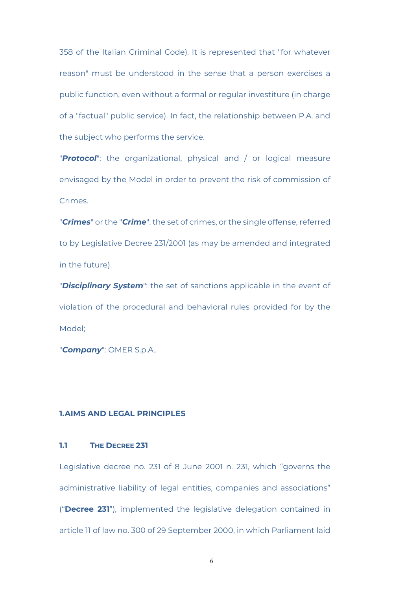358 of the Italian Criminal Code). It is represented that "for whatever reason" must be understood in the sense that a person exercises a public function, even without a formal or regular investiture (in charge of a "factual" public service). In fact, the relationship between P.A. and the subject who performs the service.

"*Protocol*": the organizational, physical and / or logical measure envisaged by the Model in order to prevent the risk of commission of Crimes.

"*Crimes*" or the "*Crime*": the set of crimes, or the single offense, referred to by Legislative Decree 231/2001 (as may be amended and integrated in the future).

"*Disciplinary System*": the set of sanctions applicable in the event of violation of the procedural and behavioral rules provided for by the Model;

"*Company*": OMER S.p.A..

#### **1.AIMS AND LEGAL PRINCIPLES**

#### **1.1 THE DECREE 231**

Legislative decree no. 231 of 8 June 2001 n. 231, which "governs the administrative liability of legal entities, companies and associations" ("**Decree 231**"), implemented the legislative delegation contained in article 11 of law no. 300 of 29 September 2000, in which Parliament laid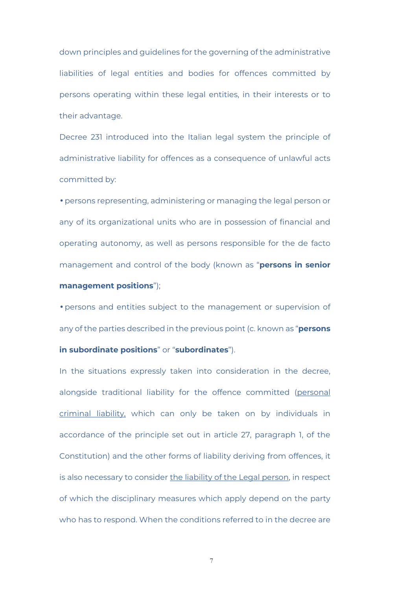down principles and guidelines for the governing of the administrative liabilities of legal entities and bodies for offences committed by persons operating within these legal entities, in their interests or to their advantage.

Decree 231 introduced into the Italian legal system the principle of administrative liability for offences as a consequence of unlawful acts committed by:

• persons representing, administering or managing the legal person or any of its organizational units who are in possession of financial and operating autonomy, as well as persons responsible for the de facto management and control of the body (known as "**persons in senior management positions**");

• persons and entities subject to the management or supervision of any of the parties described in the previous point (c. known as "**persons** 

#### **in subordinate positions**" or "**subordinates**").

In the situations expressly taken into consideration in the decree, alongside traditional liability for the offence committed (personal criminal liability, which can only be taken on by individuals in accordance of the principle set out in article 27, paragraph 1, of the Constitution) and the other forms of liability deriving from offences, it is also necessary to consider the liability of the Legal person, in respect of which the disciplinary measures which apply depend on the party who has to respond. When the conditions referred to in the decree are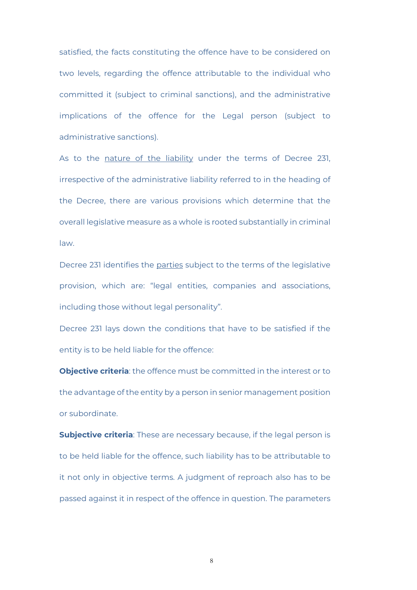satisfied, the facts constituting the offence have to be considered on two levels, regarding the offence attributable to the individual who committed it (subject to criminal sanctions), and the administrative implications of the offence for the Legal person (subject to administrative sanctions).

As to the nature of the liability under the terms of Decree 231, irrespective of the administrative liability referred to in the heading of the Decree, there are various provisions which determine that the overall legislative measure as a whole is rooted substantially in criminal law.

Decree 231 identifies the parties subject to the terms of the legislative provision, which are: "legal entities, companies and associations, including those without legal personality".

Decree 231 lays down the conditions that have to be satisfied if the entity is to be held liable for the offence:

**Objective criteria**: the offence must be committed in the interest or to the advantage of the entity by a person in senior management position or subordinate.

**Subjective criteria**: These are necessary because, if the legal person is to be held liable for the offence, such liability has to be attributable to it not only in objective terms. A judgment of reproach also has to be passed against it in respect of the offence in question. The parameters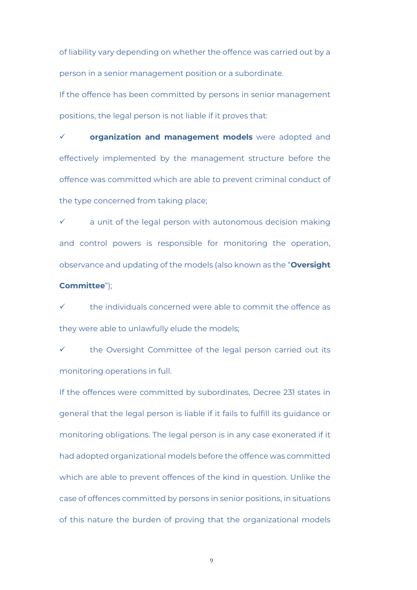of liability vary depending on whether the offence was carried out by a person in a senior management position or a subordinate.

If the offence has been committed by persons in senior management positions, the legal person is not liable if it proves that:

 **organization and management models** were adopted and effectively implemented by the management structure before the offence was committed which are able to prevent criminal conduct of the type concerned from taking place;

 a unit of the legal person with autonomous decision making and control powers is responsible for monitoring the operation, observance and updating of the models (also known as the "**Oversight Committee**");

 the individuals concerned were able to commit the offence as they were able to unlawfully elude the models;

 the Oversight Committee of the legal person carried out its monitoring operations in full.

If the offences were committed by subordinates, Decree 231 states in general that the legal person is liable if it fails to fulfill its guidance or monitoring obligations. The legal person is in any case exonerated if it had adopted organizational models before the offence was committed which are able to prevent offences of the kind in question. Unlike the case of offences committed by persons in senior positions, in situations of this nature the burden of proving that the organizational models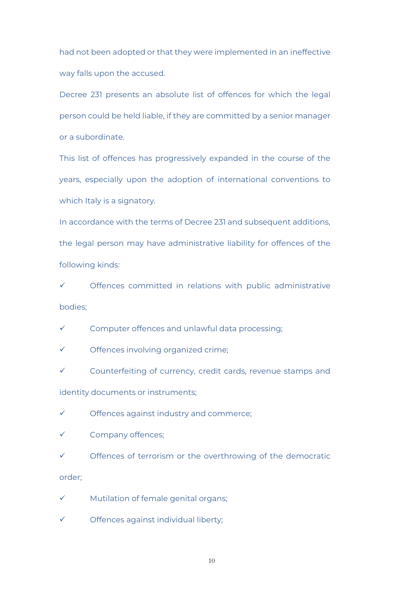had not been adopted or that they were implemented in an ineffective way falls upon the accused.

Decree 231 presents an absolute list of offences for which the legal person could be held liable, if they are committed by a senior manager or a subordinate.

This list of offences has progressively expanded in the course of the years, especially upon the adoption of international conventions to which Italy is a signatory.

In accordance with the terms of Decree 231 and subsequent additions, the legal person may have administrative liability for offences of the following kinds:

 $\checkmark$  Offences committed in relations with public administrative bodies;

 $\checkmark$  Computer offences and unlawful data processing:

Offences involving organized crime;

 $\checkmark$  Counterfeiting of currency, credit cards, revenue stamps and identity documents or instruments;

 $\checkmark$  Offences against industry and commerce;

Company offences;

 $\checkmark$  Offences of terrorism or the overthrowing of the democratic

order;

 $\checkmark$  Mutilation of female genital organs;

 $\checkmark$  Offences against individual liberty;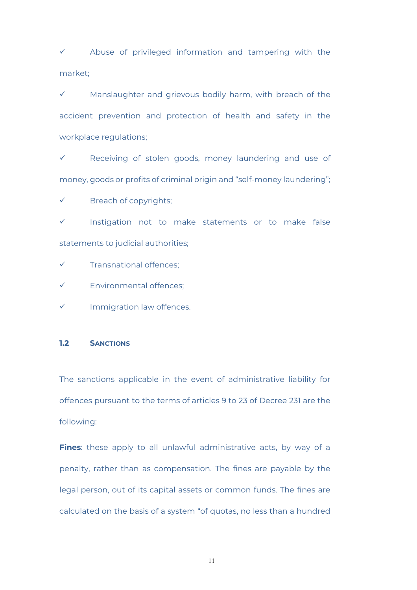$\checkmark$  Abuse of privileged information and tampering with the market;

 Manslaughter and grievous bodily harm, with breach of the accident prevention and protection of health and safety in the workplace regulations;

 Receiving of stolen goods, money laundering and use of money, goods or profits of criminal origin and "self-money laundering";

Breach of copyrights;

 $\checkmark$  Instigation not to make statements or to make false statements to judicial authorities;

- $\checkmark$  Transnational offences;
- Environmental offences;
- Immigration law offences.

#### **1.2 SANCTIONS**

The sanctions applicable in the event of administrative liability for offences pursuant to the terms of articles 9 to 23 of Decree 231 are the following:

Fines: these apply to all unlawful administrative acts, by way of a penalty, rather than as compensation. The fines are payable by the legal person, out of its capital assets or common funds. The fines are calculated on the basis of a system "of quotas, no less than a hundred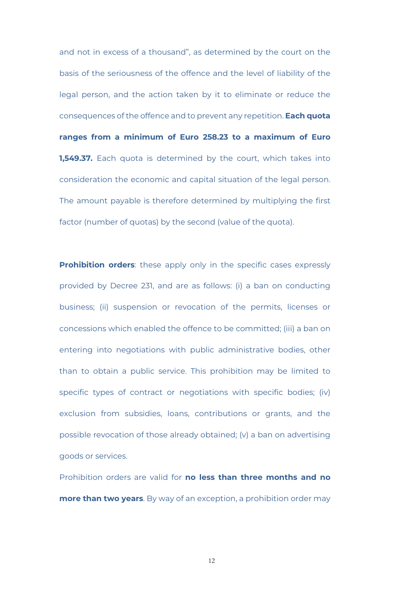and not in excess of a thousand", as determined by the court on the basis of the seriousness of the offence and the level of liability of the legal person, and the action taken by it to eliminate or reduce the consequences of the offence and to prevent any repetition. **Each quota ranges from a minimum of Euro 258.23 to a maximum of Euro 1,549.37.** Each quota is determined by the court, which takes into consideration the economic and capital situation of the legal person. The amount payable is therefore determined by multiplying the first factor (number of quotas) by the second (value of the quota).

**Prohibition orders:** these apply only in the specific cases expressly provided by Decree 231, and are as follows: (i) a ban on conducting business; (ii) suspension or revocation of the permits, licenses or concessions which enabled the offence to be committed; (iii) a ban on entering into negotiations with public administrative bodies, other than to obtain a public service. This prohibition may be limited to specific types of contract or negotiations with specific bodies; (iv) exclusion from subsidies, loans, contributions or grants, and the possible revocation of those already obtained; (v) a ban on advertising goods or services.

Prohibition orders are valid for **no less than three months and no more than two years**. By way of an exception, a prohibition order may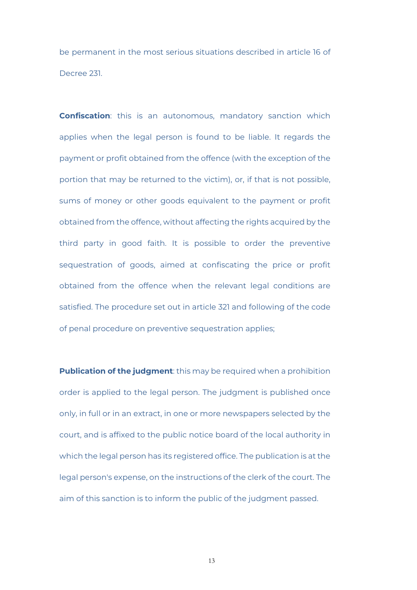be permanent in the most serious situations described in article 16 of Decree 231.

**Confiscation**: this is an autonomous, mandatory sanction which applies when the legal person is found to be liable. It regards the payment or profit obtained from the offence (with the exception of the portion that may be returned to the victim), or, if that is not possible, sums of money or other goods equivalent to the payment or profit obtained from the offence, without affecting the rights acquired by the third party in good faith. It is possible to order the preventive sequestration of goods, aimed at confiscating the price or profit obtained from the offence when the relevant legal conditions are satisfied. The procedure set out in article 321 and following of the code of penal procedure on preventive sequestration applies;

**Publication of the judgment**: this may be required when a prohibition order is applied to the legal person. The judgment is published once only, in full or in an extract, in one or more newspapers selected by the court, and is affixed to the public notice board of the local authority in which the legal person has its registered office. The publication is at the legal person's expense, on the instructions of the clerk of the court. The aim of this sanction is to inform the public of the judgment passed.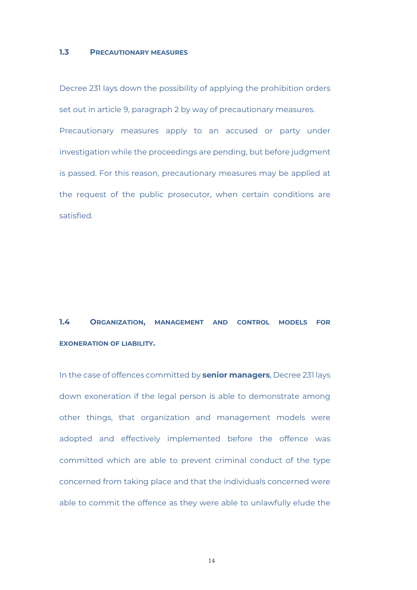#### **1.3 PRECAUTIONARY MEASURES**

Decree 231 lays down the possibility of applying the prohibition orders set out in article 9, paragraph 2 by way of precautionary measures. Precautionary measures apply to an accused or party under investigation while the proceedings are pending, but before judgment is passed. For this reason, precautionary measures may be applied at the request of the public prosecutor, when certain conditions are satisfied.

**1.4 ORGANIZATION, MANAGEMENT AND CONTROL MODELS FOR EXONERATION OF LIABILITY.** 

In the case of offences committed by **senior managers**, Decree 231 lays down exoneration if the legal person is able to demonstrate among other things, that organization and management models were adopted and effectively implemented before the offence was committed which are able to prevent criminal conduct of the type concerned from taking place and that the individuals concerned were able to commit the offence as they were able to unlawfully elude the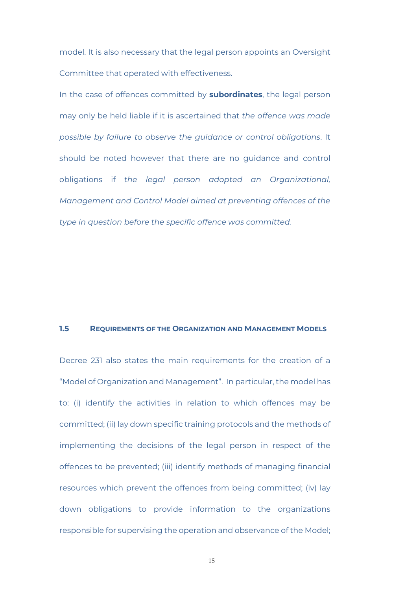model. It is also necessary that the legal person appoints an Oversight Committee that operated with effectiveness.

In the case of offences committed by **subordinates**, the legal person may only be held liable if it is ascertained that *the offence was made possible by failure to observe the guidance or control obligations*. It should be noted however that there are no guidance and control obligations if *the legal person adopted an Organizational, Management and Control Model aimed at preventing offences of the type in question before the specific offence was committed.* 

#### **1.5 REQUIREMENTS OF THE ORGANIZATION AND MANAGEMENT MODELS**

Decree 231 also states the main requirements for the creation of a "Model of Organization and Management". In particular, the model has to: (i) identify the activities in relation to which offences may be committed; (ii) lay down specific training protocols and the methods of implementing the decisions of the legal person in respect of the offences to be prevented; (iii) identify methods of managing financial resources which prevent the offences from being committed; (iv) lay down obligations to provide information to the organizations responsible for supervising the operation and observance of the Model;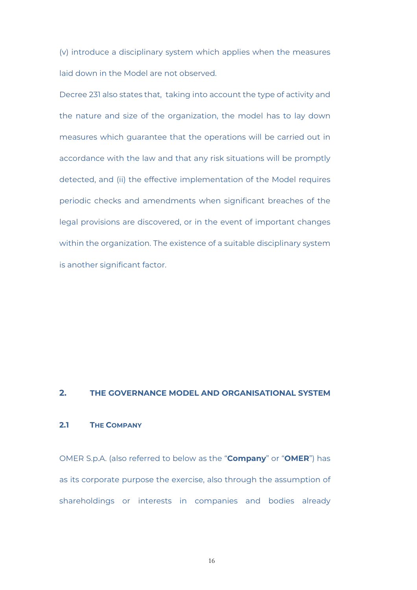(v) introduce a disciplinary system which applies when the measures laid down in the Model are not observed.

Decree 231 also states that, taking into account the type of activity and the nature and size of the organization, the model has to lay down measures which guarantee that the operations will be carried out in accordance with the law and that any risk situations will be promptly detected, and (ii) the effective implementation of the Model requires periodic checks and amendments when significant breaches of the legal provisions are discovered, or in the event of important changes within the organization. The existence of a suitable disciplinary system is another significant factor.

#### **2. THE GOVERNANCE MODEL AND ORGANISATIONAL SYSTEM**

#### **2.1 THE COMPANY**

OMER S.p.A. (also referred to below as the "**Company**" or "**OMER**") has as its corporate purpose the exercise, also through the assumption of shareholdings or interests in companies and bodies already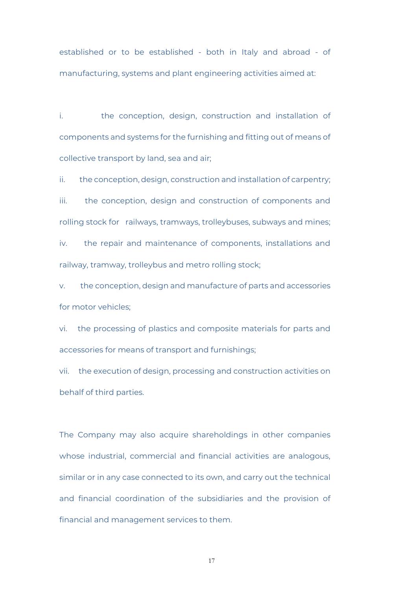established or to be established - both in Italy and abroad - of manufacturing, systems and plant engineering activities aimed at:

i. the conception, design, construction and installation of components and systems for the furnishing and fitting out of means of collective transport by land, sea and air;

ii. the conception, design, construction and installation of carpentry; iii. the conception, design and construction of components and rolling stock for railways, tramways, trolleybuses, subways and mines; iv. the repair and maintenance of components, installations and railway, tramway, trolleybus and metro rolling stock;

v. the conception, design and manufacture of parts and accessories for motor vehicles;

vi. the processing of plastics and composite materials for parts and accessories for means of transport and furnishings;

vii. the execution of design, processing and construction activities on behalf of third parties.

The Company may also acquire shareholdings in other companies whose industrial, commercial and financial activities are analogous, similar or in any case connected to its own, and carry out the technical and financial coordination of the subsidiaries and the provision of financial and management services to them.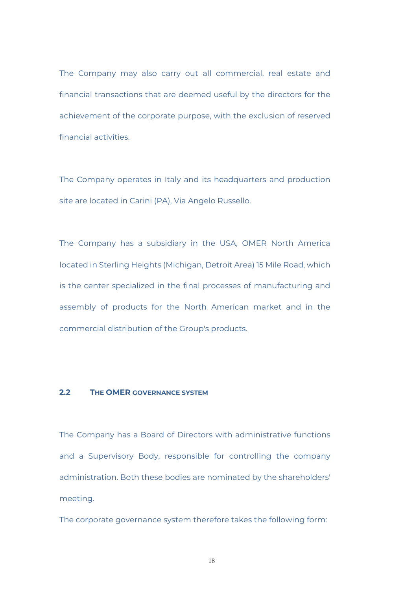The Company may also carry out all commercial, real estate and financial transactions that are deemed useful by the directors for the achievement of the corporate purpose, with the exclusion of reserved financial activities.

The Company operates in Italy and its headquarters and production site are located in Carini (PA), Via Angelo Russello.

The Company has a subsidiary in the USA, OMER North America located in Sterling Heights (Michigan, Detroit Area) 15 Mile Road, which is the center specialized in the final processes of manufacturing and assembly of products for the North American market and in the commercial distribution of the Group's products.

#### **2.2 THE OMER GOVERNANCE SYSTEM**

The Company has a Board of Directors with administrative functions and a Supervisory Body, responsible for controlling the company administration. Both these bodies are nominated by the shareholders' meeting.

The corporate governance system therefore takes the following form: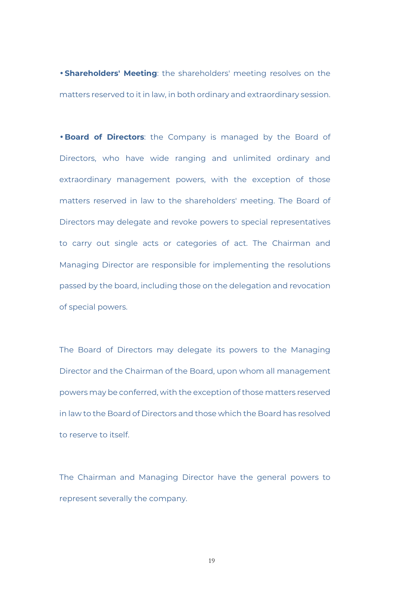• **Shareholders' Meeting**: the shareholders' meeting resolves on the matters reserved to it in law, in both ordinary and extraordinary session.

• **Board of Directors**: the Company is managed by the Board of Directors, who have wide ranging and unlimited ordinary and extraordinary management powers, with the exception of those matters reserved in law to the shareholders' meeting. The Board of Directors may delegate and revoke powers to special representatives to carry out single acts or categories of act. The Chairman and Managing Director are responsible for implementing the resolutions passed by the board, including those on the delegation and revocation of special powers.

The Board of Directors may delegate its powers to the Managing Director and the Chairman of the Board, upon whom all management powers may be conferred, with the exception of those matters reserved in law to the Board of Directors and those which the Board has resolved to reserve to itself.

The Chairman and Managing Director have the general powers to represent severally the company.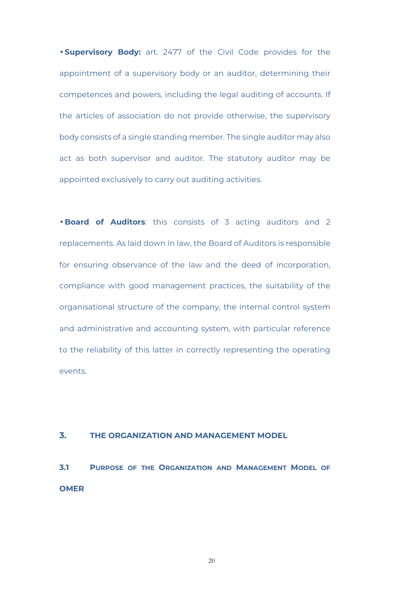• **Supervisory Body:** art. 2477 of the Civil Code provides for the appointment of a supervisory body or an auditor, determining their competences and powers, including the legal auditing of accounts. If the articles of association do not provide otherwise, the supervisory body consists of a single standing member. The single auditor may also act as both supervisor and auditor. The statutory auditor may be appointed exclusively to carry out auditing activities.

• **Board of Auditors**: this consists of 3 acting auditors and 2 replacements. As laid down in law, the Board of Auditors is responsible for ensuring observance of the law and the deed of incorporation, compliance with good management practices, the suitability of the organisational structure of the company, the internal control system and administrative and accounting system, with particular reference to the reliability of this latter in correctly representing the operating events.

#### **3. THE ORGANIZATION AND MANAGEMENT MODEL**

**3.1 PURPOSE OF THE ORGANIZATION AND MANAGEMENT MODEL OF OMER**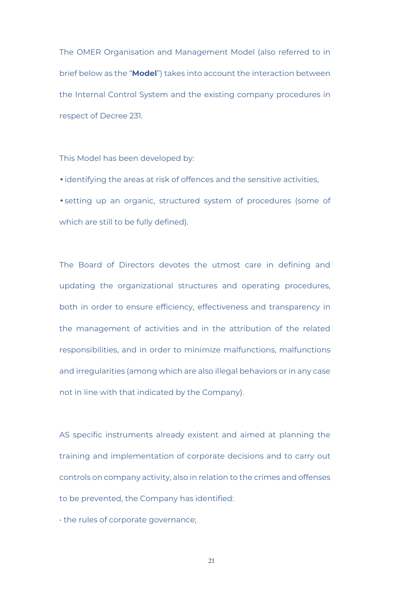The OMER Organisation and Management Model (also referred to in brief below as the "**Model**") takes into account the interaction between the Internal Control System and the existing company procedures in respect of Decree 231.

This Model has been developed by:

• identifying the areas at risk of offences and the sensitive activities,

• setting up an organic, structured system of procedures (some of which are still to be fully defined).

The Board of Directors devotes the utmost care in defining and updating the organizational structures and operating procedures, both in order to ensure efficiency, effectiveness and transparency in the management of activities and in the attribution of the related responsibilities, and in order to minimize malfunctions, malfunctions and irregularities (among which are also illegal behaviors or in any case not in line with that indicated by the Company).

AS specific instruments already existent and aimed at planning the training and implementation of corporate decisions and to carry out controls on company activity, also in relation to the crimes and offenses to be prevented, the Company has identified:

• the rules of corporate governance;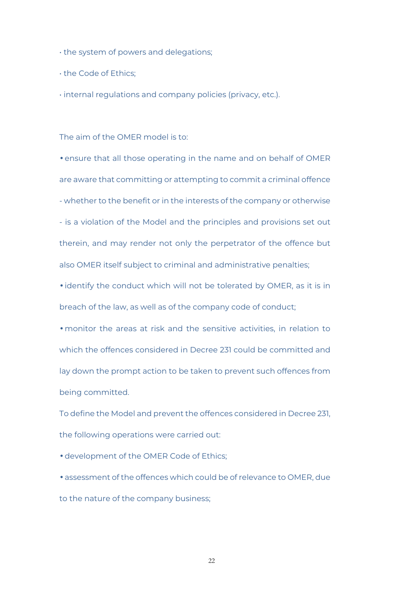• the system of powers and delegations;

• the Code of Ethics;

• internal regulations and company policies (privacy, etc.).

The aim of the OMER model is to:

• ensure that all those operating in the name and on behalf of OMER are aware that committing or attempting to commit a criminal offence - whether to the benefit or in the interests of the company or otherwise - is a violation of the Model and the principles and provisions set out therein, and may render not only the perpetrator of the offence but also OMER itself subject to criminal and administrative penalties;

• identify the conduct which will not be tolerated by OMER, as it is in breach of the law, as well as of the company code of conduct;

• monitor the areas at risk and the sensitive activities, in relation to which the offences considered in Decree 231 could be committed and lay down the prompt action to be taken to prevent such offences from being committed.

To define the Model and prevent the offences considered in Decree 231, the following operations were carried out:

• development of the OMER Code of Ethics;

• assessment of the offences which could be of relevance to OMER, due to the nature of the company business;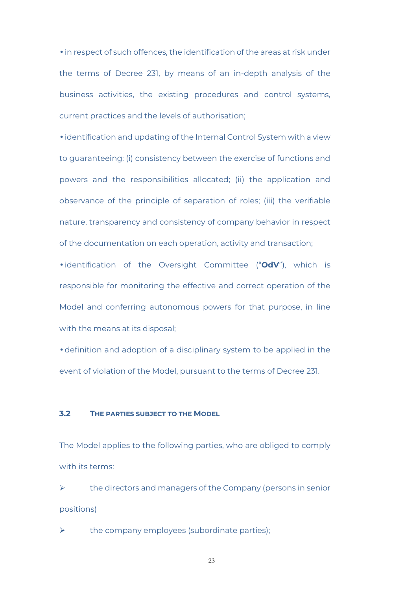• in respect of such offences, the identification of the areas at risk under the terms of Decree 231, by means of an in-depth analysis of the business activities, the existing procedures and control systems, current practices and the levels of authorisation;

• identification and updating of the Internal Control System with a view to guaranteeing: (i) consistency between the exercise of functions and powers and the responsibilities allocated; (ii) the application and observance of the principle of separation of roles; (iii) the verifiable nature, transparency and consistency of company behavior in respect of the documentation on each operation, activity and transaction;

• identification of the Oversight Committee ("**OdV**"), which is responsible for monitoring the effective and correct operation of the Model and conferring autonomous powers for that purpose, in line with the means at its disposal;

• definition and adoption of a disciplinary system to be applied in the event of violation of the Model, pursuant to the terms of Decree 231.

#### **3.2 THE PARTIES SUBJECT TO THE MODEL**

The Model applies to the following parties, who are obliged to comply with its terms:

 the directors and managers of the Company (persons in senior positions)

the company employees (subordinate parties);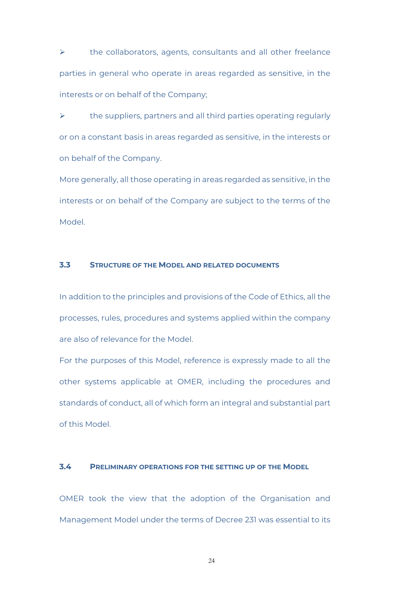$\triangleright$  the collaborators, agents, consultants and all other freelance parties in general who operate in areas regarded as sensitive, in the interests or on behalf of the Company;

 $\triangleright$  the suppliers, partners and all third parties operating regularly or on a constant basis in areas regarded as sensitive, in the interests or on behalf of the Company.

More generally, all those operating in areas regarded as sensitive, in the interests or on behalf of the Company are subject to the terms of the Model.

#### **3.3 STRUCTURE OF THE MODEL AND RELATED DOCUMENTS**

In addition to the principles and provisions of the Code of Ethics, all the processes, rules, procedures and systems applied within the company are also of relevance for the Model.

For the purposes of this Model, reference is expressly made to all the other systems applicable at OMER, including the procedures and standards of conduct, all of which form an integral and substantial part of this Model.

#### **3.4 PRELIMINARY OPERATIONS FOR THE SETTING UP OF THE MODEL**

OMER took the view that the adoption of the Organisation and Management Model under the terms of Decree 231 was essential to its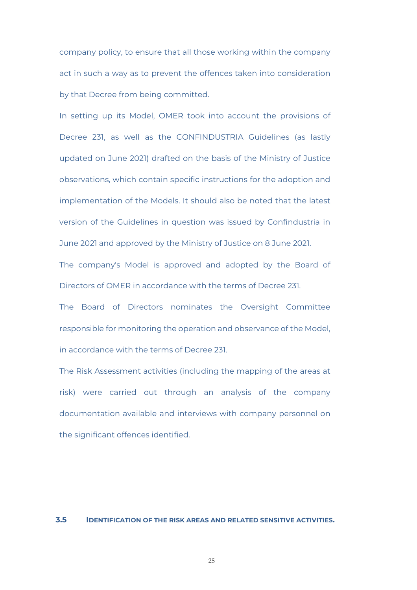company policy, to ensure that all those working within the company act in such a way as to prevent the offences taken into consideration by that Decree from being committed.

In setting up its Model, OMER took into account the provisions of Decree 231, as well as the CONFINDUSTRIA Guidelines (as lastly updated on June 2021) drafted on the basis of the Ministry of Justice observations, which contain specific instructions for the adoption and implementation of the Models. It should also be noted that the latest version of the Guidelines in question was issued by Confindustria in June 2021 and approved by the Ministry of Justice on 8 June 2021.

The company's Model is approved and adopted by the Board of Directors of OMER in accordance with the terms of Decree 231.

The Board of Directors nominates the Oversight Committee responsible for monitoring the operation and observance of the Model, in accordance with the terms of Decree 231.

The Risk Assessment activities (including the mapping of the areas at risk) were carried out through an analysis of the company documentation available and interviews with company personnel on the significant offences identified.

#### **3.5 IDENTIFICATION OF THE RISK AREAS AND RELATED SENSITIVE ACTIVITIES.**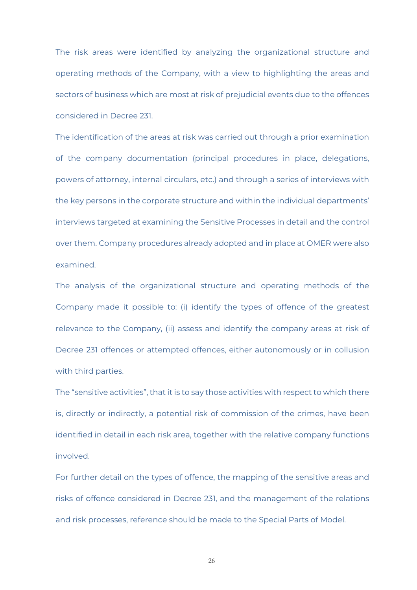The risk areas were identified by analyzing the organizational structure and operating methods of the Company, with a view to highlighting the areas and sectors of business which are most at risk of prejudicial events due to the offences considered in Decree 231.

The identification of the areas at risk was carried out through a prior examination of the company documentation (principal procedures in place, delegations, powers of attorney, internal circulars, etc.) and through a series of interviews with the key persons in the corporate structure and within the individual departments' interviews targeted at examining the Sensitive Processes in detail and the control over them. Company procedures already adopted and in place at OMER were also examined.

The analysis of the organizational structure and operating methods of the Company made it possible to: (i) identify the types of offence of the greatest relevance to the Company, (ii) assess and identify the company areas at risk of Decree 231 offences or attempted offences, either autonomously or in collusion with third parties.

The "sensitive activities", that it is to say those activities with respect to which there is, directly or indirectly, a potential risk of commission of the crimes, have been identified in detail in each risk area, together with the relative company functions involved.

For further detail on the types of offence, the mapping of the sensitive areas and risks of offence considered in Decree 231, and the management of the relations and risk processes, reference should be made to the Special Parts of Model.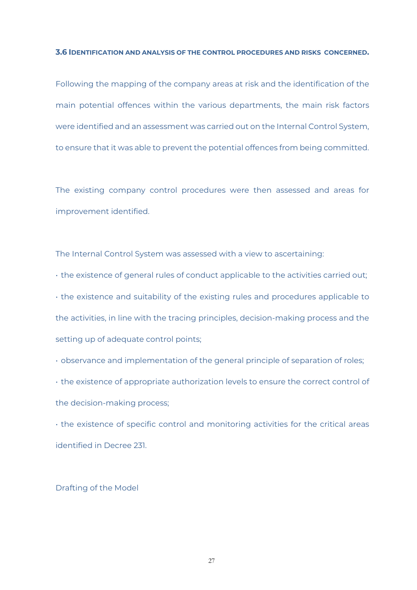#### **3.6 IDENTIFICATION AND ANALYSIS OF THE CONTROL PROCEDURES AND RISKS CONCERNED.**

Following the mapping of the company areas at risk and the identification of the main potential offences within the various departments, the main risk factors were identified and an assessment was carried out on the Internal Control System, to ensure that it was able to prevent the potential offences from being committed.

The existing company control procedures were then assessed and areas for improvement identified.

The Internal Control System was assessed with a view to ascertaining:

• the existence of general rules of conduct applicable to the activities carried out;

• the existence and suitability of the existing rules and procedures applicable to the activities, in line with the tracing principles, decision-making process and the setting up of adequate control points;

• observance and implementation of the general principle of separation of roles;

• the existence of appropriate authorization levels to ensure the correct control of the decision-making process;

• the existence of specific control and monitoring activities for the critical areas identified in Decree 231.

#### Drafting of the Model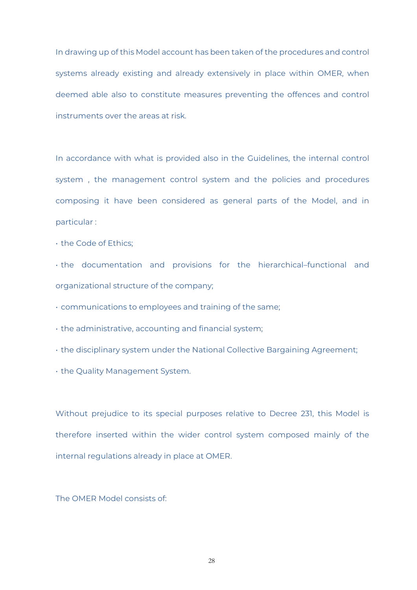In drawing up of this Model account has been taken of the procedures and control systems already existing and already extensively in place within OMER, when deemed able also to constitute measures preventing the offences and control instruments over the areas at risk.

In accordance with what is provided also in the Guidelines, the internal control system , the management control system and the policies and procedures composing it have been considered as general parts of the Model, and in particular :

• the Code of Ethics;

• the documentation and provisions for the hierarchical–functional and organizational structure of the company;

• communications to employees and training of the same;

• the administrative, accounting and financial system;

• the disciplinary system under the National Collective Bargaining Agreement;

• the Quality Management System.

Without prejudice to its special purposes relative to Decree 231, this Model is therefore inserted within the wider control system composed mainly of the internal regulations already in place at OMER.

The OMER Model consists of: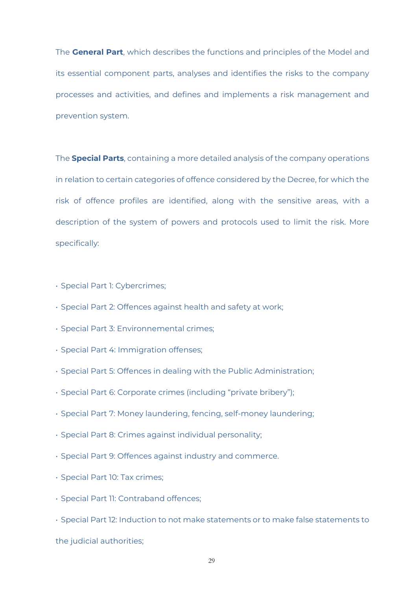The **General Part**, which describes the functions and principles of the Model and its essential component parts, analyses and identifies the risks to the company processes and activities, and defines and implements a risk management and prevention system.

The **Special Parts**, containing a more detailed analysis of the company operations in relation to certain categories of offence considered by the Decree, for which the risk of offence profiles are identified, along with the sensitive areas, with a description of the system of powers and protocols used to limit the risk. More specifically:

- Special Part 1: Cybercrimes;
- Special Part 2: Offences against health and safety at work;
- Special Part 3: Environnemental crimes;
- Special Part 4: Immigration offenses;
- Special Part 5: Offences in dealing with the Public Administration;
- Special Part 6: Corporate crimes (including "private bribery");
- Special Part 7: Money laundering, fencing, self-money laundering;
- Special Part 8: Crimes against individual personality;
- Special Part 9: Offences against industry and commerce.
- Special Part 10: Tax crimes;
- Special Part 11: Contraband offences;
- Special Part 12: Induction to not make statements or to make false statements to

the judicial authorities;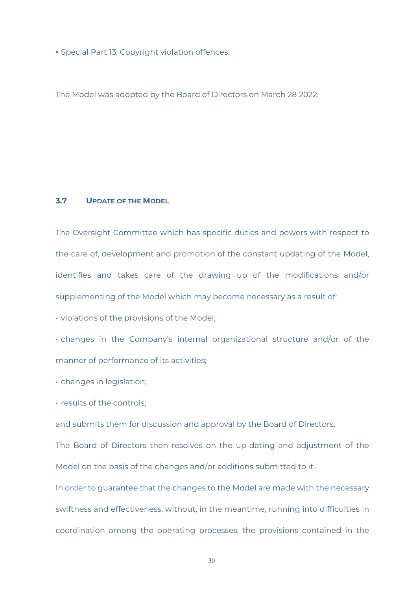• Special Part 13: Copyright violation offences.

The Model was adopted by the Board of Directors on March 28 2022.

#### **3.7 UPDATE OF THE MODEL**

The Oversight Committee which has specific duties and powers with respect to the care of, development and promotion of the constant updating of the Model, identifies and takes care of the drawing up of the modifications and/or supplementing of the Model which may become necessary as a result of:

• violations of the provisions of the Model;

• changes in the Company's internal organizational structure and/or of the manner of performance of its activities;

• changes in legislation;

• results of the controls;

and submits them for discussion and approval by the Board of Directors.

The Board of Directors then resolves on the up-dating and adjustment of the Model on the basis of the changes and/or additions submitted to it.

In order to guarantee that the changes to the Model are made with the necessary swiftness and effectiveness, without, in the meantime, running into difficulties in coordination among the operating processes, the provisions contained in the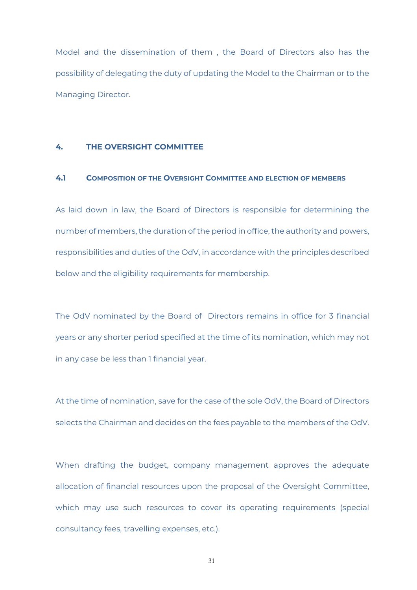Model and the dissemination of them , the Board of Directors also has the possibility of delegating the duty of updating the Model to the Chairman or to the Managing Director.

#### **4. THE OVERSIGHT COMMITTEE**

#### **4.1 COMPOSITION OF THE OVERSIGHT COMMITTEE AND ELECTION OF MEMBERS**

As laid down in law, the Board of Directors is responsible for determining the number of members, the duration of the period in office, the authority and powers, responsibilities and duties of the OdV, in accordance with the principles described below and the eligibility requirements for membership.

The OdV nominated by the Board of Directors remains in office for 3 financial years or any shorter period specified at the time of its nomination, which may not in any case be less than 1 financial year.

At the time of nomination, save for the case of the sole OdV, the Board of Directors selects the Chairman and decides on the fees payable to the members of the OdV.

When drafting the budget, company management approves the adequate allocation of financial resources upon the proposal of the Oversight Committee, which may use such resources to cover its operating requirements (special consultancy fees, travelling expenses, etc.).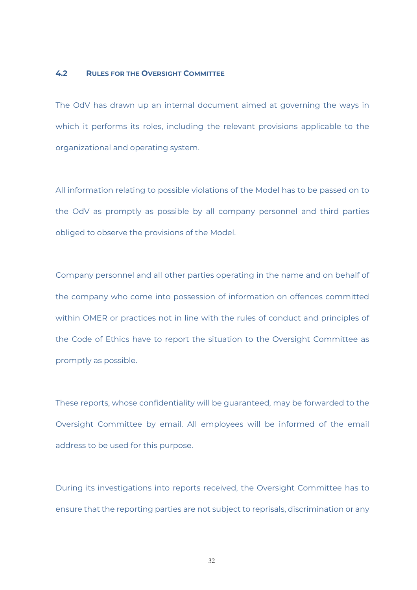#### **4.2 RULES FOR THE OVERSIGHT COMMITTEE**

The OdV has drawn up an internal document aimed at governing the ways in which it performs its roles, including the relevant provisions applicable to the organizational and operating system.

All information relating to possible violations of the Model has to be passed on to the OdV as promptly as possible by all company personnel and third parties obliged to observe the provisions of the Model.

Company personnel and all other parties operating in the name and on behalf of the company who come into possession of information on offences committed within OMER or practices not in line with the rules of conduct and principles of the Code of Ethics have to report the situation to the Oversight Committee as promptly as possible.

These reports, whose confidentiality will be guaranteed, may be forwarded to the Oversight Committee by email. All employees will be informed of the email address to be used for this purpose.

During its investigations into reports received, the Oversight Committee has to ensure that the reporting parties are not subject to reprisals, discrimination or any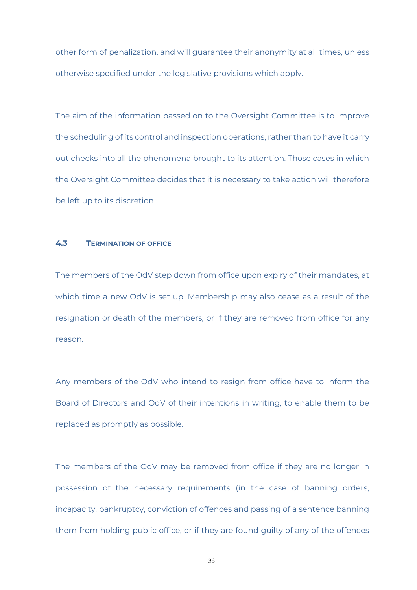other form of penalization, and will guarantee their anonymity at all times, unless otherwise specified under the legislative provisions which apply.

The aim of the information passed on to the Oversight Committee is to improve the scheduling of its control and inspection operations, rather than to have it carry out checks into all the phenomena brought to its attention. Those cases in which the Oversight Committee decides that it is necessary to take action will therefore be left up to its discretion.

#### **4.3 TERMINATION OF OFFICE**

The members of the OdV step down from office upon expiry of their mandates, at which time a new OdV is set up. Membership may also cease as a result of the resignation or death of the members, or if they are removed from office for any reason.

Any members of the OdV who intend to resign from office have to inform the Board of Directors and OdV of their intentions in writing, to enable them to be replaced as promptly as possible.

The members of the OdV may be removed from office if they are no longer in possession of the necessary requirements (in the case of banning orders, incapacity, bankruptcy, conviction of offences and passing of a sentence banning them from holding public office, or if they are found guilty of any of the offences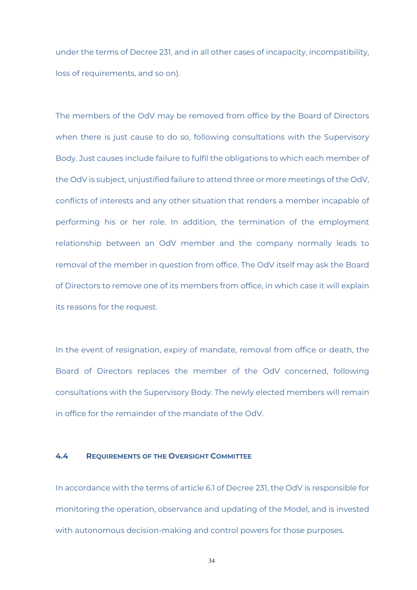under the terms of Decree 231, and in all other cases of incapacity, incompatibility, loss of requirements, and so on).

The members of the OdV may be removed from office by the Board of Directors when there is just cause to do so, following consultations with the Supervisory Body. Just causes include failure to fulfil the obligations to which each member of the OdV is subject, unjustified failure to attend three or more meetings of the OdV, conflicts of interests and any other situation that renders a member incapable of performing his or her role. In addition, the termination of the employment relationship between an OdV member and the company normally leads to removal of the member in question from office. The OdV itself may ask the Board of Directors to remove one of its members from office, in which case it will explain its reasons for the request.

In the event of resignation, expiry of mandate, removal from office or death, the Board of Directors replaces the member of the OdV concerned, following consultations with the Supervisory Body. The newly elected members will remain in office for the remainder of the mandate of the OdV.

#### **4.4 REQUIREMENTS OF THE OVERSIGHT COMMITTEE**

In accordance with the terms of article 6.1 of Decree 231, the OdV is responsible for monitoring the operation, observance and updating of the Model, and is invested with autonomous decision-making and control powers for those purposes.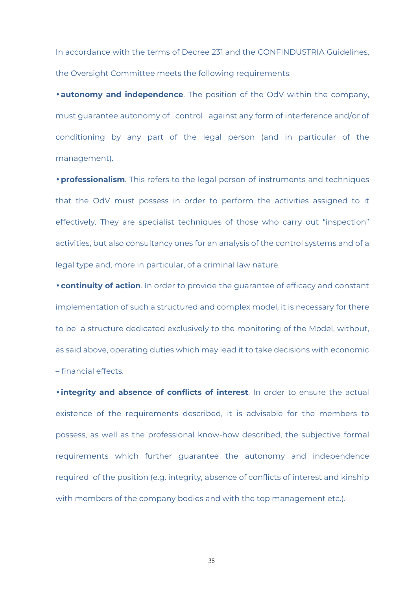In accordance with the terms of Decree 231 and the CONFINDUSTRIA Guidelines, the Oversight Committee meets the following requirements:

• **autonomy and independence**. The position of the OdV within the company, must guarantee autonomy of control against any form of interference and/or of conditioning by any part of the legal person (and in particular of the management).

• **professionalism**. This refers to the legal person of instruments and techniques that the OdV must possess in order to perform the activities assigned to it effectively. They are specialist techniques of those who carry out "inspection" activities, but also consultancy ones for an analysis of the control systems and of a legal type and, more in particular, of a criminal law nature.

• **continuity of action**. In order to provide the guarantee of efficacy and constant implementation of such a structured and complex model, it is necessary for there to be a structure dedicated exclusively to the monitoring of the Model, without, as said above, operating duties which may lead it to take decisions with economic – financial effects.

• **integrity and absence of conflicts of interest**. In order to ensure the actual existence of the requirements described, it is advisable for the members to possess, as well as the professional know-how described, the subjective formal requirements which further guarantee the autonomy and independence required of the position (e.g. integrity, absence of conflicts of interest and kinship with members of the company bodies and with the top management etc.).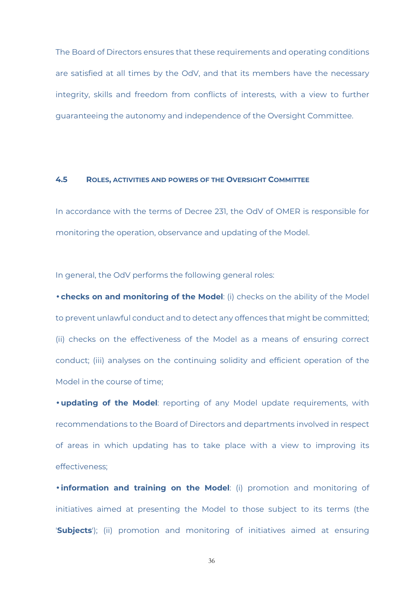The Board of Directors ensures that these requirements and operating conditions are satisfied at all times by the OdV, and that its members have the necessary integrity, skills and freedom from conflicts of interests, with a view to further guaranteeing the autonomy and independence of the Oversight Committee.

#### **4.5 ROLES, ACTIVITIES AND POWERS OF THE OVERSIGHT COMMITTEE**

In accordance with the terms of Decree 231, the OdV of OMER is responsible for monitoring the operation, observance and updating of the Model.

In general, the OdV performs the following general roles:

• **checks on and monitoring of the Model**: (i) checks on the ability of the Model to prevent unlawful conduct and to detect any offences that might be committed; (ii) checks on the effectiveness of the Model as a means of ensuring correct conduct; (iii) analyses on the continuing solidity and efficient operation of the Model in the course of time;

• **updating of the Model**: reporting of any Model update requirements, with recommendations to the Board of Directors and departments involved in respect of areas in which updating has to take place with a view to improving its effectiveness;

• **information and training on the Model**: (i) promotion and monitoring of initiatives aimed at presenting the Model to those subject to its terms (the '**Subjects**'); (ii) promotion and monitoring of initiatives aimed at ensuring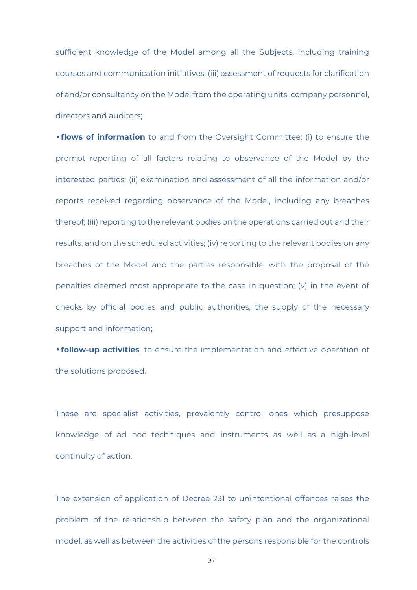sufficient knowledge of the Model among all the Subjects, including training courses and communication initiatives; (iii) assessment of requests for clarification of and/or consultancy on the Model from the operating units, company personnel, directors and auditors;

• **flows of information** to and from the Oversight Committee: (i) to ensure the prompt reporting of all factors relating to observance of the Model by the interested parties; (ii) examination and assessment of all the information and/or reports received regarding observance of the Model, including any breaches thereof; (iii) reporting to the relevant bodies on the operations carried out and their results, and on the scheduled activities; (iv) reporting to the relevant bodies on any breaches of the Model and the parties responsible, with the proposal of the penalties deemed most appropriate to the case in question; (v) in the event of checks by official bodies and public authorities, the supply of the necessary support and information;

• **follow-up activities**, to ensure the implementation and effective operation of the solutions proposed.

These are specialist activities, prevalently control ones which presuppose knowledge of ad hoc techniques and instruments as well as a high-level continuity of action.

The extension of application of Decree 231 to unintentional offences raises the problem of the relationship between the safety plan and the organizational model, as well as between the activities of the persons responsible for the controls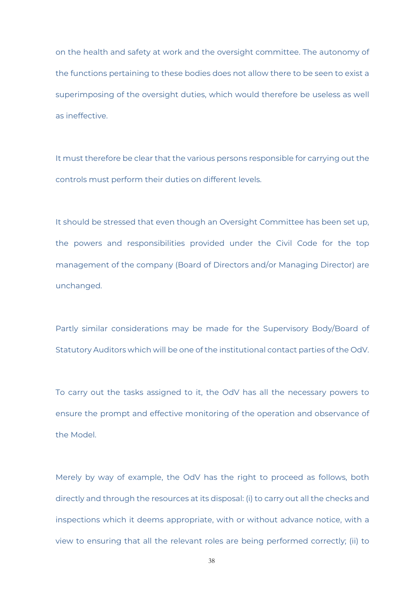on the health and safety at work and the oversight committee. The autonomy of the functions pertaining to these bodies does not allow there to be seen to exist a superimposing of the oversight duties, which would therefore be useless as well as ineffective.

It must therefore be clear that the various persons responsible for carrying out the controls must perform their duties on different levels.

It should be stressed that even though an Oversight Committee has been set up, the powers and responsibilities provided under the Civil Code for the top management of the company (Board of Directors and/or Managing Director) are unchanged.

Partly similar considerations may be made for the Supervisory Body/Board of Statutory Auditors which will be one of the institutional contact parties of the OdV.

To carry out the tasks assigned to it, the OdV has all the necessary powers to ensure the prompt and effective monitoring of the operation and observance of the Model.

Merely by way of example, the OdV has the right to proceed as follows, both directly and through the resources at its disposal: (i) to carry out all the checks and inspections which it deems appropriate, with or without advance notice, with a view to ensuring that all the relevant roles are being performed correctly; (ii) to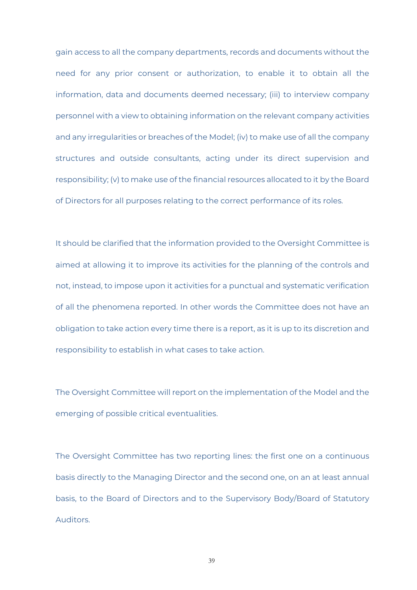gain access to all the company departments, records and documents without the need for any prior consent or authorization, to enable it to obtain all the information, data and documents deemed necessary; (iii) to interview company personnel with a view to obtaining information on the relevant company activities and any irregularities or breaches of the Model; (iv) to make use of all the company structures and outside consultants, acting under its direct supervision and responsibility; (v) to make use of the financial resources allocated to it by the Board of Directors for all purposes relating to the correct performance of its roles.

It should be clarified that the information provided to the Oversight Committee is aimed at allowing it to improve its activities for the planning of the controls and not, instead, to impose upon it activities for a punctual and systematic verification of all the phenomena reported. In other words the Committee does not have an obligation to take action every time there is a report, as it is up to its discretion and responsibility to establish in what cases to take action.

The Oversight Committee will report on the implementation of the Model and the emerging of possible critical eventualities.

The Oversight Committee has two reporting lines: the first one on a continuous basis directly to the Managing Director and the second one, on an at least annual basis, to the Board of Directors and to the Supervisory Body/Board of Statutory Auditors.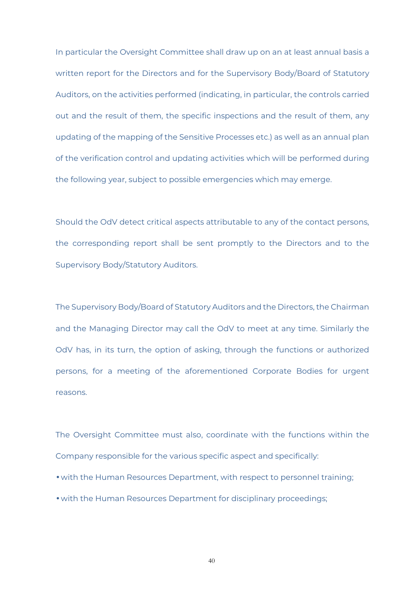In particular the Oversight Committee shall draw up on an at least annual basis a written report for the Directors and for the Supervisory Body/Board of Statutory Auditors, on the activities performed (indicating, in particular, the controls carried out and the result of them, the specific inspections and the result of them, any updating of the mapping of the Sensitive Processes etc.) as well as an annual plan of the verification control and updating activities which will be performed during the following year, subject to possible emergencies which may emerge.

Should the OdV detect critical aspects attributable to any of the contact persons, the corresponding report shall be sent promptly to the Directors and to the Supervisory Body/Statutory Auditors.

The Supervisory Body/Board of Statutory Auditors and the Directors, the Chairman and the Managing Director may call the OdV to meet at any time. Similarly the OdV has, in its turn, the option of asking, through the functions or authorized persons, for a meeting of the aforementioned Corporate Bodies for urgent reasons.

The Oversight Committee must also, coordinate with the functions within the Company responsible for the various specific aspect and specifically:

- with the Human Resources Department, with respect to personnel training;
- with the Human Resources Department for disciplinary proceedings;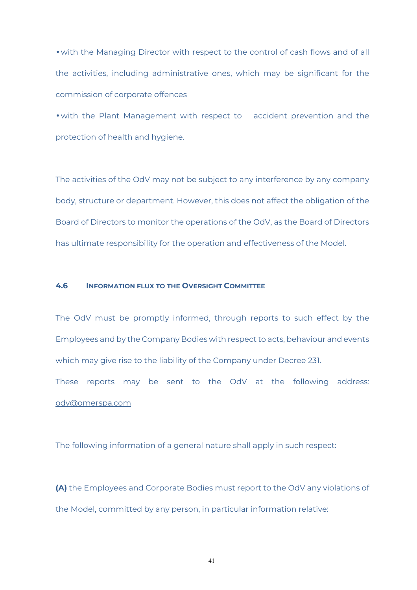• with the Managing Director with respect to the control of cash flows and of all the activities, including administrative ones, which may be significant for the commission of corporate offences

• with the Plant Management with respect to accident prevention and the protection of health and hygiene.

The activities of the OdV may not be subject to any interference by any company body, structure or department. However, this does not affect the obligation of the Board of Directors to monitor the operations of the OdV, as the Board of Directors has ultimate responsibility for the operation and effectiveness of the Model.

#### **4.6 INFORMATION FLUX TO THE OVERSIGHT COMMITTEE**

The OdV must be promptly informed, through reports to such effect by the Employees and by the Company Bodies with respect to acts, behaviour and events which may give rise to the liability of the Company under Decree 231.

These reports may be sent to the OdV at the following address: odv@omerspa.com

The following information of a general nature shall apply in such respect:

**(A)** the Employees and Corporate Bodies must report to the OdV any violations of the Model, committed by any person, in particular information relative: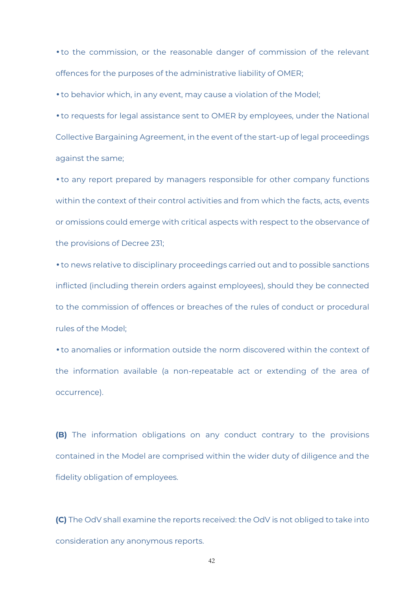• to the commission, or the reasonable danger of commission of the relevant offences for the purposes of the administrative liability of OMER;

• to behavior which, in any event, may cause a violation of the Model;

• to requests for legal assistance sent to OMER by employees, under the National Collective Bargaining Agreement, in the event of the start-up of legal proceedings against the same;

• to any report prepared by managers responsible for other company functions within the context of their control activities and from which the facts, acts, events or omissions could emerge with critical aspects with respect to the observance of the provisions of Decree 231;

• to news relative to disciplinary proceedings carried out and to possible sanctions inflicted (including therein orders against employees), should they be connected to the commission of offences or breaches of the rules of conduct or procedural rules of the Model;

• to anomalies or information outside the norm discovered within the context of the information available (a non-repeatable act or extending of the area of occurrence).

**(B)** The information obligations on any conduct contrary to the provisions contained in the Model are comprised within the wider duty of diligence and the fidelity obligation of employees.

**(C)** The OdV shall examine the reports received: the OdV is not obliged to take into consideration any anonymous reports.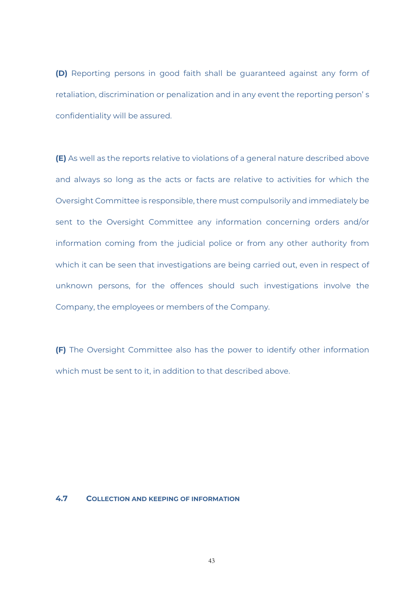**(D)** Reporting persons in good faith shall be guaranteed against any form of retaliation, discrimination or penalization and in any event the reporting person' s confidentiality will be assured.

**(E)** As well as the reports relative to violations of a general nature described above and always so long as the acts or facts are relative to activities for which the Oversight Committee is responsible, there must compulsorily and immediately be sent to the Oversight Committee any information concerning orders and/or information coming from the judicial police or from any other authority from which it can be seen that investigations are being carried out, even in respect of unknown persons, for the offences should such investigations involve the Company, the employees or members of the Company.

**(F)** The Oversight Committee also has the power to identify other information which must be sent to it, in addition to that described above.

#### **4.7 COLLECTION AND KEEPING OF INFORMATION**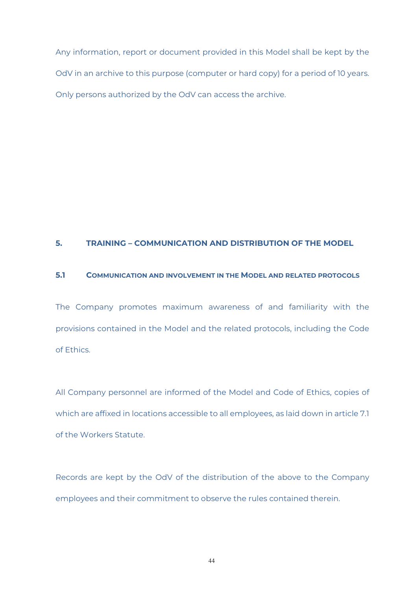Any information, report or document provided in this Model shall be kept by the OdV in an archive to this purpose (computer or hard copy) for a period of 10 years. Only persons authorized by the OdV can access the archive.

#### **5. TRAINING – COMMUNICATION AND DISTRIBUTION OF THE MODEL**

#### **5.1 COMMUNICATION AND INVOLVEMENT IN THE MODEL AND RELATED PROTOCOLS**

The Company promotes maximum awareness of and familiarity with the provisions contained in the Model and the related protocols, including the Code of Ethics.

All Company personnel are informed of the Model and Code of Ethics, copies of which are affixed in locations accessible to all employees, as laid down in article 7.1 of the Workers Statute.

Records are kept by the OdV of the distribution of the above to the Company employees and their commitment to observe the rules contained therein.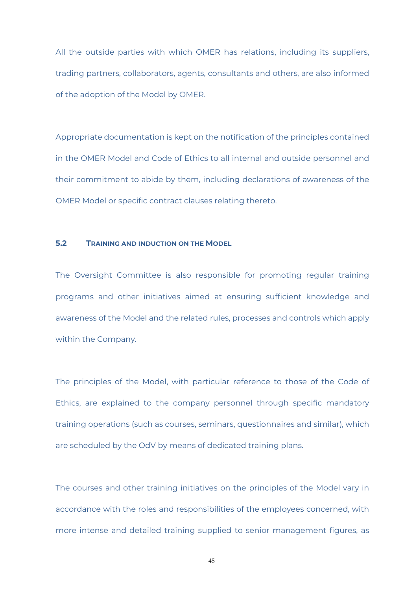All the outside parties with which OMER has relations, including its suppliers, trading partners, collaborators, agents, consultants and others, are also informed of the adoption of the Model by OMER.

Appropriate documentation is kept on the notification of the principles contained in the OMER Model and Code of Ethics to all internal and outside personnel and their commitment to abide by them, including declarations of awareness of the OMER Model or specific contract clauses relating thereto.

#### **5.2 TRAINING AND INDUCTION ON THE MODEL**

The Oversight Committee is also responsible for promoting regular training programs and other initiatives aimed at ensuring sufficient knowledge and awareness of the Model and the related rules, processes and controls which apply within the Company.

The principles of the Model, with particular reference to those of the Code of Ethics, are explained to the company personnel through specific mandatory training operations (such as courses, seminars, questionnaires and similar), which are scheduled by the OdV by means of dedicated training plans.

The courses and other training initiatives on the principles of the Model vary in accordance with the roles and responsibilities of the employees concerned, with more intense and detailed training supplied to senior management figures, as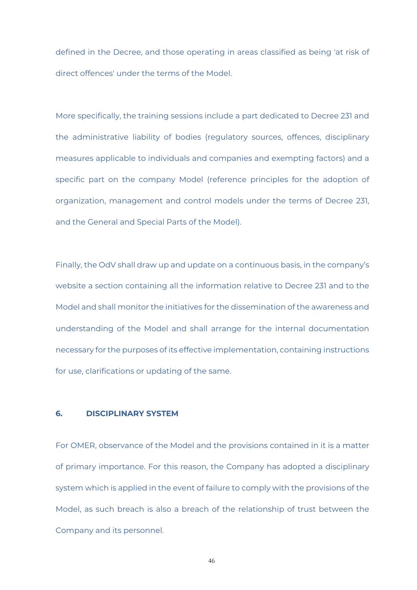defined in the Decree, and those operating in areas classified as being 'at risk of direct offences' under the terms of the Model.

More specifically, the training sessions include a part dedicated to Decree 231 and the administrative liability of bodies (regulatory sources, offences, disciplinary measures applicable to individuals and companies and exempting factors) and a specific part on the company Model (reference principles for the adoption of organization, management and control models under the terms of Decree 231, and the General and Special Parts of the Model).

Finally, the OdV shall draw up and update on a continuous basis, in the company's website a section containing all the information relative to Decree 231 and to the Model and shall monitor the initiatives for the dissemination of the awareness and understanding of the Model and shall arrange for the internal documentation necessary for the purposes of its effective implementation, containing instructions for use, clarifications or updating of the same.

#### **6. DISCIPLINARY SYSTEM**

For OMER, observance of the Model and the provisions contained in it is a matter of primary importance. For this reason, the Company has adopted a disciplinary system which is applied in the event of failure to comply with the provisions of the Model, as such breach is also a breach of the relationship of trust between the Company and its personnel.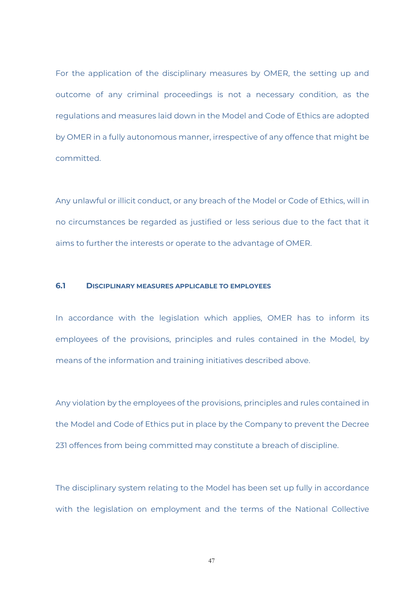For the application of the disciplinary measures by OMER, the setting up and outcome of any criminal proceedings is not a necessary condition, as the regulations and measures laid down in the Model and Code of Ethics are adopted by OMER in a fully autonomous manner, irrespective of any offence that might be committed.

Any unlawful or illicit conduct, or any breach of the Model or Code of Ethics, will in no circumstances be regarded as justified or less serious due to the fact that it aims to further the interests or operate to the advantage of OMER.

#### **6.1 DISCIPLINARY MEASURES APPLICABLE TO EMPLOYEES**

In accordance with the legislation which applies, OMER has to inform its employees of the provisions, principles and rules contained in the Model, by means of the information and training initiatives described above.

Any violation by the employees of the provisions, principles and rules contained in the Model and Code of Ethics put in place by the Company to prevent the Decree 231 offences from being committed may constitute a breach of discipline.

The disciplinary system relating to the Model has been set up fully in accordance with the legislation on employment and the terms of the National Collective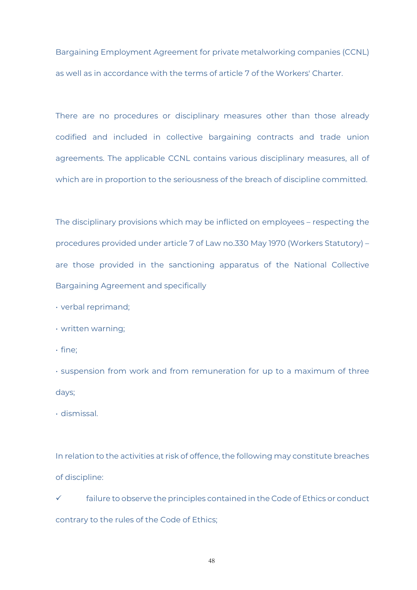Bargaining Employment Agreement for private metalworking companies (CCNL) as well as in accordance with the terms of article 7 of the Workers' Charter.

There are no procedures or disciplinary measures other than those already codified and included in collective bargaining contracts and trade union agreements. The applicable CCNL contains various disciplinary measures, all of which are in proportion to the seriousness of the breach of discipline committed.

The disciplinary provisions which may be inflicted on employees – respecting the procedures provided under article 7 of Law no.330 May 1970 (Workers Statutory) – are those provided in the sanctioning apparatus of the National Collective Bargaining Agreement and specifically

- verbal reprimand;
- written warning;
- fine;

• suspension from work and from remuneration for up to a maximum of three days;

• dismissal.

In relation to the activities at risk of offence, the following may constitute breaches of discipline:

 $\checkmark$  failure to observe the principles contained in the Code of Ethics or conduct contrary to the rules of the Code of Ethics;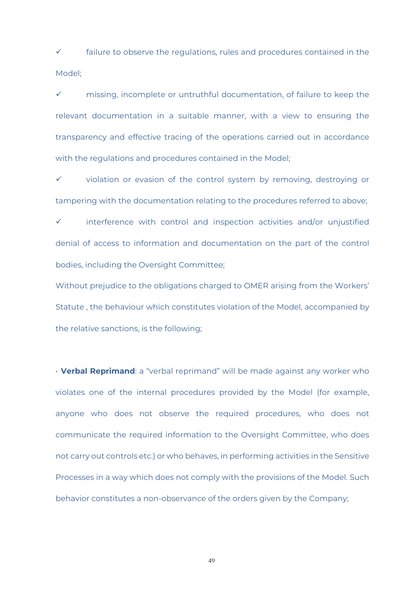$\checkmark$  failure to observe the regulations, rules and procedures contained in the Model;

 $\checkmark$  missing, incomplete or untruthful documentation, of failure to keep the relevant documentation in a suitable manner, with a view to ensuring the transparency and effective tracing of the operations carried out in accordance with the regulations and procedures contained in the Model;

 $\checkmark$  violation or evasion of the control system by removing, destroying or tampering with the documentation relating to the procedures referred to above;

 $\checkmark$  interference with control and inspection activities and/or unjustified denial of access to information and documentation on the part of the control bodies, including the Oversight Committee;

Without prejudice to the obligations charged to OMER arising from the Workers' Statute , the behaviour which constitutes violation of the Model, accompanied by the relative sanctions, is the following;

• **Verbal Reprimand**: a "verbal reprimand" will be made against any worker who violates one of the internal procedures provided by the Model (for example, anyone who does not observe the required procedures, who does not communicate the required information to the Oversight Committee, who does not carry out controls etc.) or who behaves, in performing activities in the Sensitive Processes in a way which does not comply with the provisions of the Model. Such behavior constitutes a non-observance of the orders given by the Company;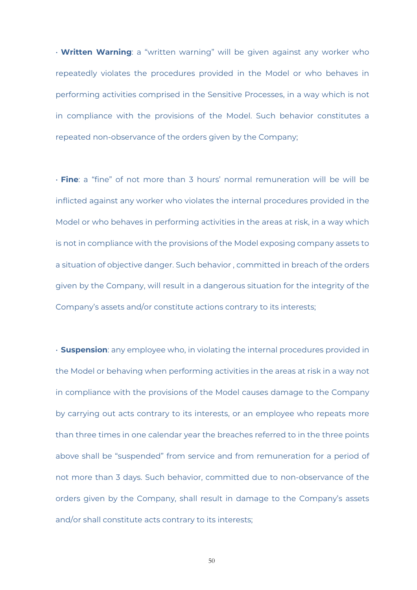• **Written Warning**: a "written warning" will be given against any worker who repeatedly violates the procedures provided in the Model or who behaves in performing activities comprised in the Sensitive Processes, in a way which is not in compliance with the provisions of the Model. Such behavior constitutes a repeated non-observance of the orders given by the Company;

• **Fine**: a "fine" of not more than 3 hours' normal remuneration will be will be inflicted against any worker who violates the internal procedures provided in the Model or who behaves in performing activities in the areas at risk, in a way which is not in compliance with the provisions of the Model exposing company assets to a situation of objective danger. Such behavior , committed in breach of the orders given by the Company, will result in a dangerous situation for the integrity of the Company's assets and/or constitute actions contrary to its interests;

• **Suspension**: any employee who, in violating the internal procedures provided in the Model or behaving when performing activities in the areas at risk in a way not in compliance with the provisions of the Model causes damage to the Company by carrying out acts contrary to its interests, or an employee who repeats more than three times in one calendar year the breaches referred to in the three points above shall be "suspended" from service and from remuneration for a period of not more than 3 days. Such behavior, committed due to non-observance of the orders given by the Company, shall result in damage to the Company's assets and/or shall constitute acts contrary to its interests;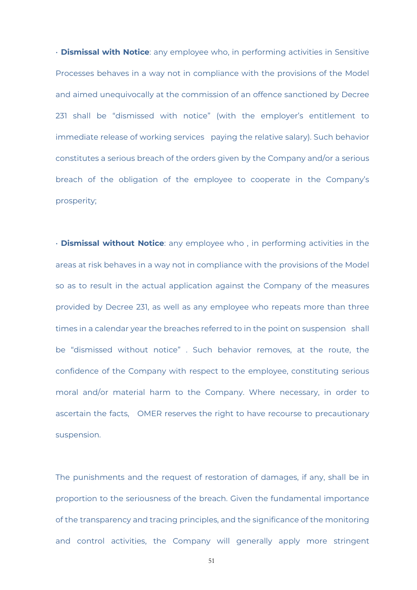• **Dismissal with Notice**: any employee who, in performing activities in Sensitive Processes behaves in a way not in compliance with the provisions of the Model and aimed unequivocally at the commission of an offence sanctioned by Decree 231 shall be "dismissed with notice" (with the employer's entitlement to immediate release of working services paying the relative salary). Such behavior constitutes a serious breach of the orders given by the Company and/or a serious breach of the obligation of the employee to cooperate in the Company's prosperity;

• **Dismissal without Notice**: any employee who , in performing activities in the areas at risk behaves in a way not in compliance with the provisions of the Model so as to result in the actual application against the Company of the measures provided by Decree 231, as well as any employee who repeats more than three times in a calendar year the breaches referred to in the point on suspension shall be "dismissed without notice" . Such behavior removes, at the route, the confidence of the Company with respect to the employee, constituting serious moral and/or material harm to the Company. Where necessary, in order to ascertain the facts, OMER reserves the right to have recourse to precautionary suspension.

The punishments and the request of restoration of damages, if any, shall be in proportion to the seriousness of the breach. Given the fundamental importance of the transparency and tracing principles, and the significance of the monitoring and control activities, the Company will generally apply more stringent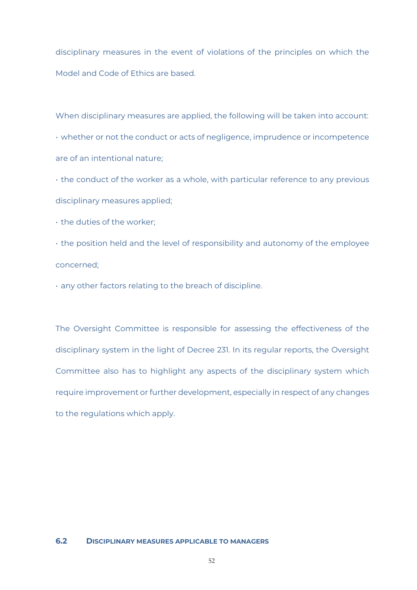disciplinary measures in the event of violations of the principles on which the Model and Code of Ethics are based.

When disciplinary measures are applied, the following will be taken into account: • whether or not the conduct or acts of negligence, imprudence or incompetence are of an intentional nature;

• the conduct of the worker as a whole, with particular reference to any previous disciplinary measures applied;

• the duties of the worker;

• the position held and the level of responsibility and autonomy of the employee concerned;

• any other factors relating to the breach of discipline.

The Oversight Committee is responsible for assessing the effectiveness of the disciplinary system in the light of Decree 231. In its regular reports, the Oversight Committee also has to highlight any aspects of the disciplinary system which require improvement or further development, especially in respect of any changes to the regulations which apply.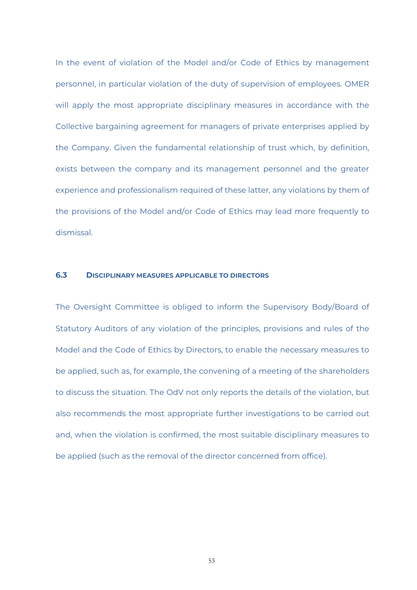In the event of violation of the Model and/or Code of Ethics by management personnel, in particular violation of the duty of supervision of employees. OMER will apply the most appropriate disciplinary measures in accordance with the Collective bargaining agreement for managers of private enterprises applied by the Company. Given the fundamental relationship of trust which, by definition, exists between the company and its management personnel and the greater experience and professionalism required of these latter, any violations by them of the provisions of the Model and/or Code of Ethics may lead more frequently to dismissal.

#### **6.3 DISCIPLINARY MEASURES APPLICABLE TO DIRECTORS**

The Oversight Committee is obliged to inform the Supervisory Body/Board of Statutory Auditors of any violation of the principles, provisions and rules of the Model and the Code of Ethics by Directors, to enable the necessary measures to be applied, such as, for example, the convening of a meeting of the shareholders to discuss the situation. The OdV not only reports the details of the violation, but also recommends the most appropriate further investigations to be carried out and, when the violation is confirmed, the most suitable disciplinary measures to be applied (such as the removal of the director concerned from office).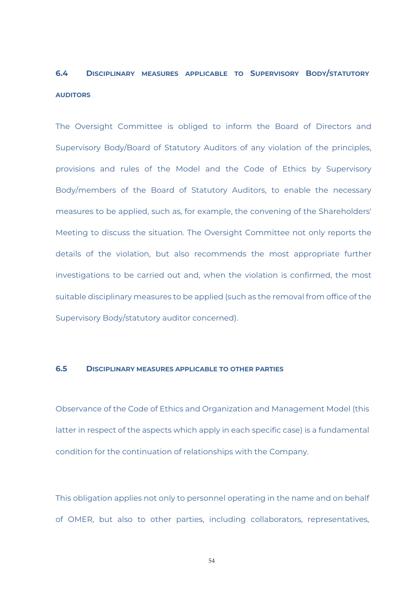### **6.4 DISCIPLINARY MEASURES APPLICABLE TO SUPERVISORY BODY/STATUTORY AUDITORS**

The Oversight Committee is obliged to inform the Board of Directors and Supervisory Body/Board of Statutory Auditors of any violation of the principles, provisions and rules of the Model and the Code of Ethics by Supervisory Body/members of the Board of Statutory Auditors, to enable the necessary measures to be applied, such as, for example, the convening of the Shareholders' Meeting to discuss the situation. The Oversight Committee not only reports the details of the violation, but also recommends the most appropriate further investigations to be carried out and, when the violation is confirmed, the most suitable disciplinary measures to be applied (such as the removal from office of the Supervisory Body/statutory auditor concerned).

#### **6.5 DISCIPLINARY MEASURES APPLICABLE TO OTHER PARTIES**

Observance of the Code of Ethics and Organization and Management Model (this latter in respect of the aspects which apply in each specific case) is a fundamental condition for the continuation of relationships with the Company.

This obligation applies not only to personnel operating in the name and on behalf of OMER, but also to other parties, including collaborators, representatives,